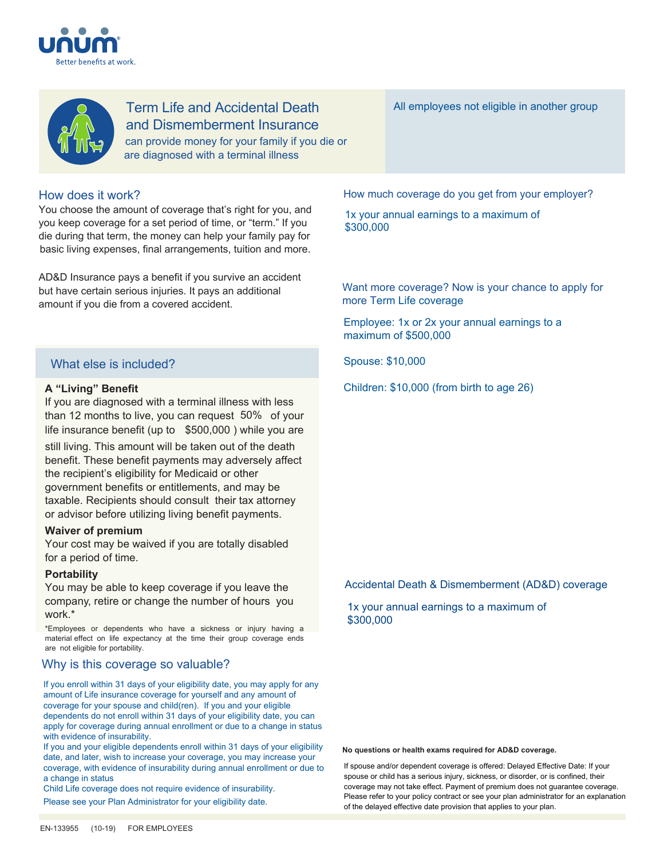



Term Life and Accidental Death and Dismemberment Insurance can provide money for your family if you die or are diagnosed with a terminal illness

# How does it work?

You choose the amount of coverage that's right for you, and you keep coverage for a set period of time, or "term." If you die during that term, the money can help your family pay for basic living expenses, final arrangements, tuition and more.

AD&D Insurance pays a benefit if you survive an accident but have certain serious injuries. It pays an additional amount if you die from a covered accident.

# What else is included?

# **A "Living" Benefit**

If you are diagnosed with a terminal illness with less than 12 months to live, you can request 50% of your life insurance benefit (up to \$500,000 ) while you are

still living. This amount will be taken out of the death benefit. These benefit payments may adversely affect the recipient's eligibility for Medicaid or other government benefits or entitlements, and may be taxable. Recipients should consult their tax attorney or advisor before utilizing living benefit payments.

# **Waiver of premium**

Your cost may be waived if you are totally disabled for a period of time.

# **Portability**

You may be able to keep coverage if you leave the company, retire or change the number of hours you work.\*

\*Employees or dependents who have a sickness or injury having a material effect on life expectancy at the time their group coverage ends are not eligible for portability.

# Why is this coverage so valuable?

If you enroll within 31 days of your eligibility date, you may apply for any amount of Life insurance coverage for yourself and any amount of coverage for your spouse and child(ren). If you and your eligible dependents do not enroll within 31 days of your eligibility date, you can apply for coverage during annual enrollment or due to a change in status with evidence of insurability.

If you and your eligible dependents enroll within 31 days of your eligibility date, and later, wish to increase your coverage, you may increase your coverage, with evidence of insurability during annual enrollment or due to a change in status

Child Life coverage does not require evidence of insurability.

Please see your Plan Administrator for your eligibility date.

All employees not eligible in another group

How much coverage do you get from your employer?

1x your annual earnings to a maximum of \$300,000

Want more coverage? Now is your chance to apply for more Term Life coverage

Employee: 1x or 2x your annual earnings to a maximum of \$500,000

Spouse: \$10,000

Children: \$10,000 (from birth to age 26)

# Accidental Death & Dismemberment (AD&D) coverage

1x your annual earnings to a maximum of \$300,000

## **No questions or health exams required for AD&D coverage.**

If spouse and/or dependent coverage is offered: Delayed Effective Date: If your spouse or child has a serious injury, sickness, or disorder, or is confined, their coverage may not take effect. Payment of premium does not guarantee coverage. Please refer to your policy contract or see your plan administrator for an explanation of the delayed effective date provision that applies to your plan.